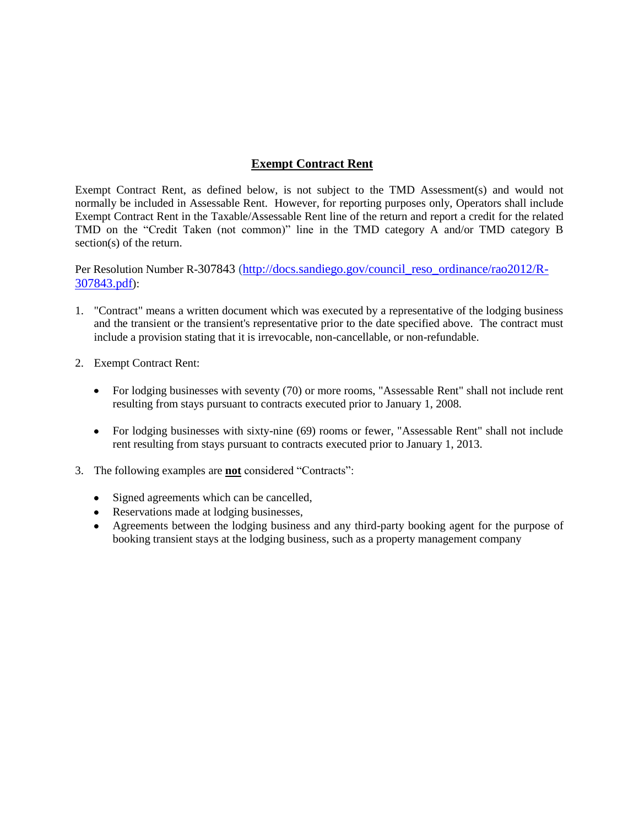## **Exempt Contract Rent**

Exempt Contract Rent, as defined below, is not subject to the TMD Assessment(s) and would not normally be included in Assessable Rent. However, for reporting purposes only, Operators shall include Exempt Contract Rent in the Taxable/Assessable Rent line of the return and report a credit for the related TMD on the "Credit Taken (not common)" line in the TMD category A and/or TMD category B section(s) of the return.

Per Resolution Number R-307843 [\(http://docs.sandiego.gov/council\\_reso\\_ordinance/rao2012/R-](http://docs.sandiego.gov/council_reso_ordinance/rao2012/R-307843.pdf)[307843.pdf](http://docs.sandiego.gov/council_reso_ordinance/rao2012/R-307843.pdf)):

- 1. "Contract" means a written document which was executed by a representative of the lodging business and the transient or the transient's representative prior to the date specified above. The contract must include a provision stating that it is irrevocable, non-cancellable, or non-refundable.
- 2. Exempt Contract Rent:
	- For lodging businesses with seventy (70) or more rooms, "Assessable Rent" shall not include rent resulting from stays pursuant to contracts executed prior to January 1, 2008.
	- For lodging businesses with sixty-nine (69) rooms or fewer, "Assessable Rent" shall not include rent resulting from stays pursuant to contracts executed prior to January 1, 2013.
- 3. The following examples are **not** considered "Contracts":
	- Signed agreements which can be cancelled,
	- Reservations made at lodging businesses,
	- Agreements between the lodging business and any third-party booking agent for the purpose of booking transient stays at the lodging business, such as a property management company